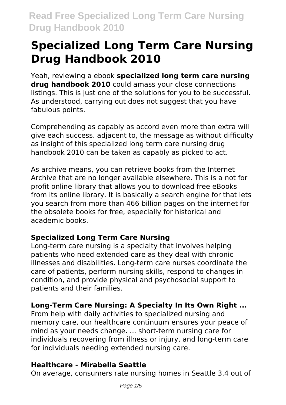Yeah, reviewing a ebook **specialized long term care nursing drug handbook 2010** could amass your close connections listings. This is just one of the solutions for you to be successful. As understood, carrying out does not suggest that you have fabulous points.

Comprehending as capably as accord even more than extra will give each success. adjacent to, the message as without difficulty as insight of this specialized long term care nursing drug handbook 2010 can be taken as capably as picked to act.

As archive means, you can retrieve books from the Internet Archive that are no longer available elsewhere. This is a not for profit online library that allows you to download free eBooks from its online library. It is basically a search engine for that lets you search from more than 466 billion pages on the internet for the obsolete books for free, especially for historical and academic books.

### **Specialized Long Term Care Nursing**

Long-term care nursing is a specialty that involves helping patients who need extended care as they deal with chronic illnesses and disabilities. Long-term care nurses coordinate the care of patients, perform nursing skills, respond to changes in condition, and provide physical and psychosocial support to patients and their families.

## **Long-Term Care Nursing: A Specialty In Its Own Right ...**

From help with daily activities to specialized nursing and memory care, our healthcare continuum ensures your peace of mind as your needs change. ... short-term nursing care for individuals recovering from illness or injury, and long-term care for individuals needing extended nursing care.

### **Healthcare - Mirabella Seattle**

On average, consumers rate nursing homes in Seattle 3.4 out of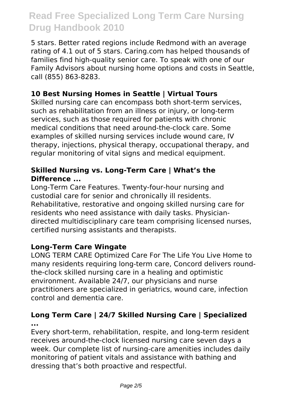5 stars. Better rated regions include Redmond with an average rating of 4.1 out of 5 stars. Caring.com has helped thousands of families find high-quality senior care. To speak with one of our Family Advisors about nursing home options and costs in Seattle, call (855) 863-8283.

### **10 Best Nursing Homes in Seattle | Virtual Tours**

Skilled nursing care can encompass both short-term services, such as rehabilitation from an illness or injury, or long-term services, such as those required for patients with chronic medical conditions that need around-the-clock care. Some examples of skilled nursing services include wound care, IV therapy, injections, physical therapy, occupational therapy, and regular monitoring of vital signs and medical equipment.

#### **Skilled Nursing vs. Long-Term Care | What's the Difference ...**

Long-Term Care Features. Twenty-four-hour nursing and custodial care for senior and chronically ill residents. Rehabilitative, restorative and ongoing skilled nursing care for residents who need assistance with daily tasks. Physiciandirected multidisciplinary care team comprising licensed nurses, certified nursing assistants and therapists.

#### **Long-Term Care Wingate**

LONG TERM CARE Optimized Care For The Life You Live Home to many residents requiring long-term care, Concord delivers roundthe-clock skilled nursing care in a healing and optimistic environment. Available 24/7, our physicians and nurse practitioners are specialized in geriatrics, wound care, infection control and dementia care.

#### **Long Term Care | 24/7 Skilled Nursing Care | Specialized ...**

Every short-term, rehabilitation, respite, and long-term resident receives around-the-clock licensed nursing care seven days a week. Our complete list of nursing-care amenities includes daily monitoring of patient vitals and assistance with bathing and dressing that's both proactive and respectful.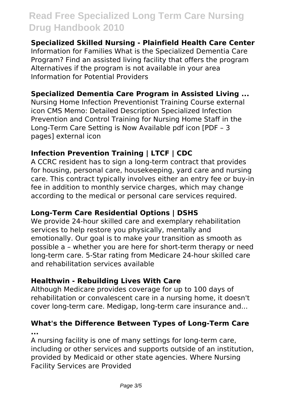#### **Specialized Skilled Nursing - Plainfield Health Care Center**

Information for Families What is the Specialized Dementia Care Program? Find an assisted living facility that offers the program Alternatives if the program is not available in your area Information for Potential Providers

#### **Specialized Dementia Care Program in Assisted Living ...**

Nursing Home Infection Preventionist Training Course external icon CMS Memo: Detailed Description Specialized Infection Prevention and Control Training for Nursing Home Staff in the Long-Term Care Setting is Now Available pdf icon [PDF – 3 pages] external icon

#### **Infection Prevention Training | LTCF | CDC**

A CCRC resident has to sign a long-term contract that provides for housing, personal care, housekeeping, yard care and nursing care. This contract typically involves either an entry fee or buy-in fee in addition to monthly service charges, which may change according to the medical or personal care services required.

### **Long-Term Care Residential Options | DSHS**

We provide 24-hour skilled care and exemplary rehabilitation services to help restore you physically, mentally and emotionally. Our goal is to make your transition as smooth as possible a – whether you are here for short-term therapy or need long-term care. 5-Star rating from Medicare 24-hour skilled care and rehabilitation services available

### **Healthwin - Rebuilding Lives With Care**

Although Medicare provides coverage for up to 100 days of rehabilitation or convalescent care in a nursing home, it doesn't cover long-term care. Medigap, long-term care insurance and...

#### **What's the Difference Between Types of Long-Term Care ...**

A nursing facility is one of many settings for long-term care, including or other services and supports outside of an institution, provided by Medicaid or other state agencies. Where Nursing Facility Services are Provided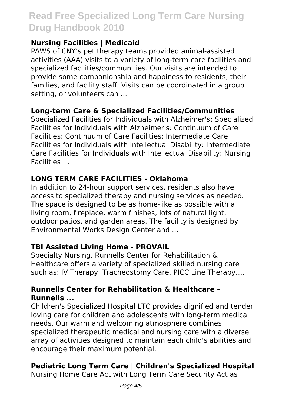### **Nursing Facilities | Medicaid**

PAWS of CNY's pet therapy teams provided animal-assisted activities (AAA) visits to a variety of long-term care facilities and specialized facilities/communities. Our visits are intended to provide some companionship and happiness to residents, their families, and facility staff. Visits can be coordinated in a group setting, or volunteers can ...

#### **Long-term Care & Specialized Facilities/Communities**

Specialized Facilities for Individuals with Alzheimer's: Specialized Facilities for Individuals with Alzheimer's: Continuum of Care Facilities: Continuum of Care Facilities: Intermediate Care Facilities for Individuals with Intellectual Disability: Intermediate Care Facilities for Individuals with Intellectual Disability: Nursing Facilities ...

### **LONG TERM CARE FACILITIES - Oklahoma**

In addition to 24-hour support services, residents also have access to specialized therapy and nursing services as needed. The space is designed to be as home-like as possible with a living room, fireplace, warm finishes, lots of natural light, outdoor patios, and garden areas. The facility is designed by Environmental Works Design Center and ...

### **TBI Assisted Living Home - PROVAIL**

Specialty Nursing. Runnells Center for Rehabilitation & Healthcare offers a variety of specialized skilled nursing care such as: IV Therapy, Tracheostomy Care, PICC Line Therapy….

#### **Runnells Center for Rehabilitation & Healthcare – Runnells ...**

Children's Specialized Hospital LTC provides dignified and tender loving care for children and adolescents with long-term medical needs. Our warm and welcoming atmosphere combines specialized therapeutic medical and nursing care with a diverse array of activities designed to maintain each child's abilities and encourage their maximum potential.

## **Pediatric Long Term Care | Children's Specialized Hospital**

Nursing Home Care Act with Long Term Care Security Act as